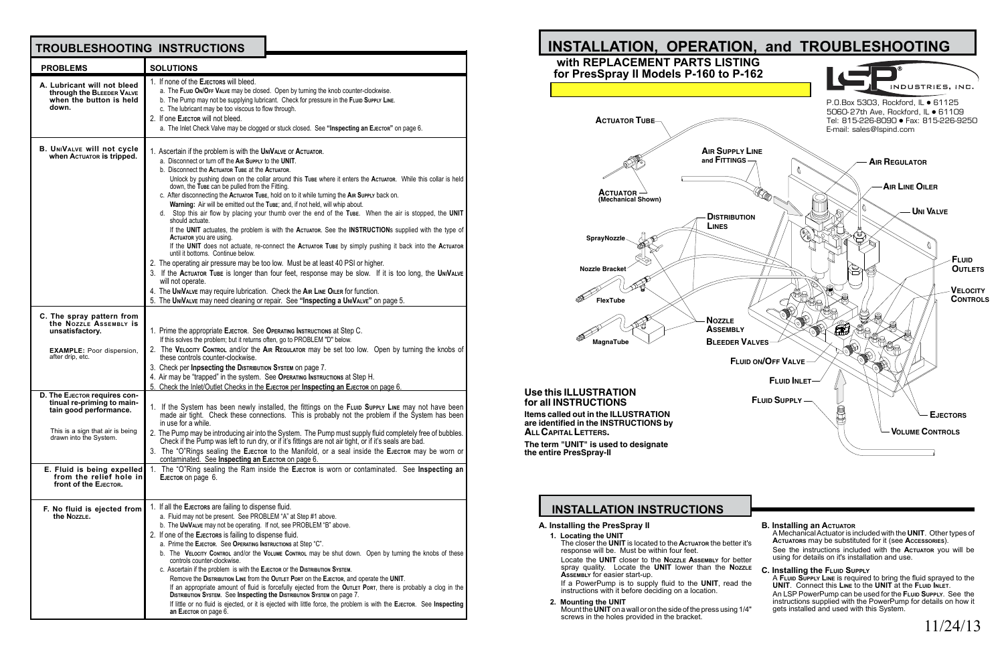#### **PROBLEMS TROUBLESHOOTING INSTRUCTIONS A. Lubricant will not bleed through the Bleeder Valve when the button is held down. C. The spray pattern from the Nozzle Assembly is unsatisfactory. EXAMPLE:** Poor dispersion, after drip, etc. **D.** The EJECTOR requires con**tinual re-priming to maintain good performance.** This is a sign that air is being drawn into the System. **E. Fluid is being expelled from the relief hole in front of the Ejector. F. No fluid is ejected from**  1. If none of the **Ejectors** will bleed. a. The FLuip ON/OFF VALVE may be closed. Open by turning the knob counter-clockwise. b. The Pump may not be supplying lubricant. Check for pressure in the FLuin Supply Line. c. The lubricant may be too viscous to flow through. 2. If one **Ejector** will not bleed. a. The Inlet Check Valve may be clogged or stuck closed. See **"Inspecting an Ejector"** on page 6. 1. Ascertain if the problem is with the **UniValve** or **Actuator**. a. Disconnect or turn off the **Air Supply** to the **UNIT**. b. Disconnect the **Actuator Tube** at the **Actuator**. Unlock by pushing down on the collar around this **Tube** where it enters the **Actuator**. While this collar is held down, the **Tube** can be pulled from the Fitting. c. After disconnecting the **Actuator Tube**, hold on to it while turning the **Air Supply** back on. **Warning:** Air will be emitted out the **Tube**; and, if not held, will whip about. d. Stop this air flow by placing your thumb over the end of the **Tube**. When the air is stopped, the **UNIT** should actuate. If the **UNIT** actuates, the problem is with the **Actuator**. See the **Instruction**s supplied with the type of **Actuator** you are using. If the **UNIT** does not actuate, re-connect the **Actuator Tube** by simply pushing it back into the **Actuator** until it bottoms. Continue below. 2. The operating air pressure may be too low. Must be at least 40 PSI or higher. 3. If the **Actuator Tube** is longer than four feet, response may be slow. If it is too long, the **UniValve** will not operate. 4. The **UniValve** may require lubrication. Check the **Air Line Oiler** for function. 5. The **UniValve** may need cleaning or repair. See **"Inspecting a UniValve"** on page 5. 1. Prime the appropriate **Ejector**. See **Operating Instructions** at Step C. If this solves the problem; but it returns often, go to PROBLEM "D" below. 2. The **Velocity Control** and/or the **Air Regulator** may be set too low. Open by turning the knobs of these controls counter-clockwise. 3. Check per **Inpsecting the Distribution System** on page 7. 4. Air may be "trapped" in the system. See **Operating Instructions** at Step H. 5. Check the Inlet/Outlet Checks in the **Ejector** per **Inspecting an Ejector** on page 6. 1. If the System has been newly installed, the fittings on the **Fluid Supply Line** may not have been made air tight. Check these connections. This is probably not the problem if the System has been in use for a while. 2. The Pump may be introducing air into the System. The Pump must supply fluid completely free of bubbles. Check if the Pump was left to run dry, or if it's fittings are not air tight, or if it's seals are bad. 3. The "O"Rings sealing the **Ejector** to the Manifold, or a seal inside the **Ejector** may be worn or contaminated. See **Inspecting an Ejector** on page 6. 1. The "O"Ring sealing the Ram inside the **Ejector** is worn or contaminated. See **Inspecting an Ejector** on page 6. 1. If all the **Ejectors** are failing to dispense fluid. **SOLUTIONS B. UniValve will not cycle when ACTUATOR** is tripped.

**the Nozzle.**

**1. Locating the UNIT The closer the UNIT** is located to the **Actuator** the better

response will be. Must be within four feet. Locate the **UNIT** closer to the **NozzLE** Assembly for be spray quality. Locate the **UNIT** lower than the **Noz** 

a. Fluid may not be present. See PROBLEM "A" at Step #1 above. b. The **UniValve** may not be operating. If not, see PROBLEM "B" above. 2. If one of the **Ejectors** is failing to dispense fluid. a. Prime the **Ejector**. See **Operating Instructions** at Step "C". b. The **Velocity Control** and/or the **Volume Control** may be shut down. Open by turning the knobs of these controls counter-clockwise. c. Ascertain if the problem is with the **Ejector** or the **Distribution System**. Remove the **Distribution Line** from the **Outlet Port** on the **Ejector**, and operate the **UNIT**. If an appropriate amount of fluid is forcefully ejected from the **Outlet Port**, there is probably a clog in the

**Distribution System**. See **Inspecting the Distribution System** on page 7. If little or no fluid is ejected, or it is ejected with little force, the problem is with the **Ejector**. See **Inspecting** 

**an Ejector** on page 6.

| r it's<br>etter | <b>B. Installing an ACTUATOR</b><br>A Mechanical Actuator is included with the UNIT. Other types of<br>ACTUATORS may be substituted for it (see Accessories).<br>See the instructions included with the <b>ACTUATOR</b> you will be<br>using for details on it's installation and use. |
|-----------------|----------------------------------------------------------------------------------------------------------------------------------------------------------------------------------------------------------------------------------------------------------------------------------------|
| <b>ZZLE</b>     | <b>C. Installing the FLUID SUPPLY</b><br>A FLUID SUPPLY LINE is required to bring the fluid sprayed to the                                                                                                                                                                             |
| the             | UNIT. Connect this Line to the UNIT at the FLUID INLET.<br>An LSP PowerPump can be used for the FLUID SUPPLY. See the<br>instructions supplied with the PowerPump for details on how it                                                                                                |
| 1/4"            | gets installed and used with this System.<br>11/24/13                                                                                                                                                                                                                                  |

# **INSTALLATION INSTRUCTIONS**

**A. Installing the PresSpray II**



**Assembly** for easier start-up.

If a PowerPump is to supply fluid to the **UNIT**, read the instructions with it before deciding on a location.

**2. Mounting the UNIT**

Mount the**UNIT**on a wall or on the side of the press using 1/4" screws in the holes provided in the bracket.

## **Use this ILLUSTRATION for all INSTRUCTIONS**

**Items called out in the ILLUSTRATION are identified in the INSTRUCTIONS by ALLCAPITAL LETTERS.**

**The term "UNIT" is used to designate the entire PresSpray-II**

11/24/13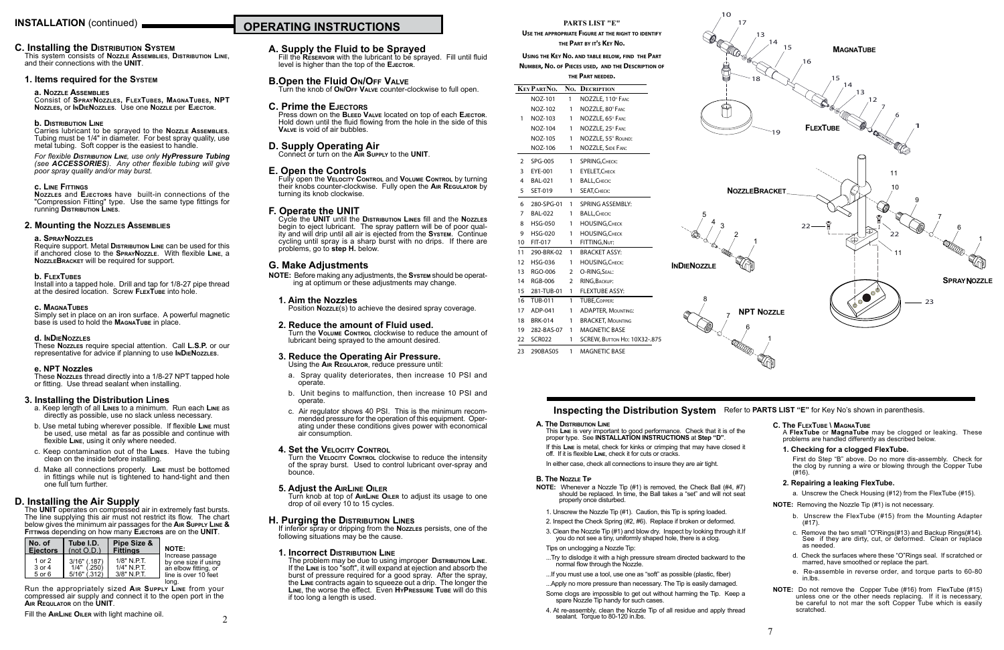## **A. Supply the Fluid to be Sprayed**

Fill the **Reservoir** with the lubricant to be sprayed. Fill until fluid level is higher than the top of the **Ejector**.

## **B.Open the Fluid On/Off Valve**

Turn the knob of **On/Off Valve** counter-clockwise to full open.

## **C. Prime the Ejectors**

Press down on the **Bleed Valve** located on top of each **Ejector**. Hold down until the fluid flowing from the hole in the side of this **Valve** is void of air bubbles.

**D. Supply Operating Air** Connect or turn on the **Air Supply** to the **UNIT**.

## **E. Open the Controls**

Fully open the **Velocity Control** and **Volume Control** by turning their knobs counter-clockwise. Fully open the **Air Regulator** by turning its knob clockwise.

## **F. Operate the UNIT**

Cycle the **UNIT** until the **Distribution Lines** fill and the **Nozzles** begin to eject lubricant. The spray pattern will be of poor quality and will drip until all air is ejected from the **System**. Continue cycling until spray is a sharp burst with no drips. If there are problems, go to **step H.** below.

Turn the **VELOCITY CONTROL** clockwise to reduce the intensity of the spray burst. Used to control lubricant over-spray and bounce.

## **G. Make Adjustments**

**NOTE:** Before making any adjustments, the **System** should be operating at optimum or these adjustments may change.

## **1. Aim the Nozzles**

Position **Nozzle**(s) to achieve the desired spray coverage.

**1. Incorrect DISTRIBUTION LINE**<br>The problem may be due to using improper DISTRIBUTION LINE. If the Line is too "soft", it will expand at ejection and absorb the burst of pressure required for a good spray. After the spray, the **Line** contracts again to squeeze out a drip. The longer the **Line**, the worse the effect. Even **HyPressure Tube** will do this if too long a length is used.

#### **2. Reduce the amount of Fluid used.** Turn the **Volume Control** clockwise to reduce the amount of lubricant being sprayed to the amount desired.

## **3. Reduce the Operating Air Pressure.**

Using the **Air Regulator**, reduce pressure until:

- a. Spray quality deteriorates, then increase 10 PSI and operate.
- b. Unit begins to malfunction, then increase 10 PSI and operate.
- c. Air regulator shows 40 PSI. This is the minimum recommended pressure for the operation of this equipment. Operating under these conditions gives power with economical air consumption.

## **4. Set the Velocity Control**

Require support. Metal **Distribution** Line can be used for this if anchored close to the **SprayNozzle**. With flexible **Line**, a **NozzleBracket** will be required for support.

Install into a tapped hole. Drill and tap for 1/8-27 pipe thread at the desired location. Screw **FLEXTUBE** into hole.

Simply set in place on an iron surface. A powerful magnetic base is used to hold the **MAGNATUBE** in place.

## **5. Adjust the AirLine Oiler**

Turn knob at top of **AirLine Oiler** to adjust its usage to one drop of oil every 10 to 15 cycles.

## **H. Purging the Distribution Lines**

If inferior spray or dripping from the **Nozzles** persists, one of the following situations may be the cause.

## **C. Installing the Distribution System**

This system consists of **Nozzle Assemblies**, **Distribution Line**, and their connections with the **UNIT**.

## **1. Items required for the System**

## **a. Nozzle Assemblies**

This Line is very important to good performance. Check that it is of proper type. See **INSTALLATION INSTRUCTIONS** at **Step "D"**.

Consist of **SprayNozzles, FlexTubes, MagnaTubes, NPT Nozzles,** or **InDieNozzles**. Use one **Nozzle** per **Ejector**.

> If this Line is metal, check for kinks or crimping that may have close off. If it is flexible **Line**, check it for cuts or cracks.

## **b. Distribution Line**

**NOTE:** Whenever a Nozzle Tip (#1) is removed, the Check Ball (#4, #7) should be replaced. In time, the Ball takes a "set" and will not seat properly once disturbed.

Carries lubricant to be sprayed to the **Nozzle Assemblies**. Tubing must be 1/4" in diameter. For best spray quality, use metal tubing. Soft copper is the easiest to handle.

*For flexible Distribution Line, use only HyPressure Tubing (see ACCESSORIES). Any other flexible tubing will give poor spray quality and/or may burst.*

## **c. Line Fittings**

**Nozzles** and **Ejectors** have built-in connections of the "Compression Fitting" type. Use the same type fittings for running **Distribution Lines**.

## **2. Mounting the Nozzles Assemblies**

## **a. SprayNozzles**

## **b. FlexTubes**

## **c. MagnaTubes**

## **d. InDieNozzles**

These **Nozzles** require special attention. Call **L.S.P.** or our representative for advice if planning to use **InDieNozzles**.

## **e. NPT Nozzles**

These **Nozzles** thread directly into a 1/8-27 NPT tapped hole or fitting. Use thread sealant when installing.

## **3. Installing the Distribution Lines**

- a. Keep length of all **Lines** to a minimum. Run each **Line** as directly as possible, use no slack unless necessary.
- b. Use metal tubing wherever possible. If flexible **Line** must be used, use metal as far as possible and continue with flexible **Line**, using it only where needed.
- c. Keep contamination out of the **Lines**. Have the tubing clean on the inside before installing.
- d. Make all connections properly. **Line** must be bottomed in fittings while nut is tightened to hand-tight and then one full turn further.

## **D. Installing the Air Supply**

The **UNIT** operates on compressed air in extremely fast bursts. The line supplying this air must not restrict its flow. The chart below gives the minimum air passages for the **Air Supply Line & Fittings** depending on how many **Ejectors** are on the **UNIT**.

| l No. of                   | Tube I.D.                                         | Pipe Size &                                  | <b>NOTE:</b>                                                                             |
|----------------------------|---------------------------------------------------|----------------------------------------------|------------------------------------------------------------------------------------------|
| <b>LEiectors</b>           | (not O.D.)                                        | Fittinas                                     |                                                                                          |
| 1 or 2<br>3 or 4<br>5 or 6 | $3/16"$ (.187)<br>$1/4"$ (.250)<br>$5/16"$ (.312) | $1/8"$ N.P.T.<br>1/4" N.P.T.<br>$3/8"$ N PT. | Increase passage<br>by one size if using<br>an elbow fitting, or<br>line is over 10 feet |

Run the appropriately sized **Air Supply Line** from your compressed air supply and connect it to the open port in the **Air Requlator** on the **UNIT**. long.

Fill the **AirLine Oiler** with light machine oil.

2

# **INSTALLATION** (continued) **NARGE 2018 2019 10 DERATING INSTRUCTIONS**

**A. The Distribution Line**

In either case, check all connections to insure they are air tight.

## **B. The Nozzle Tip**

- 1. Unscrew the Nozzle Tip (#1). Caution, this Tip is spring loaded.
- 2. Inspect the Check Spring (#2, #6). Replace if broken or deformed.
- 3. Clean the Nozzle Tip (#1) and blow dry. Inspect by looking through it.If you do not see a tiny, uniformly shaped hole, there is a clog.
- Tips on unclogging a Nozzle Tip:
- ...Try to dislodge it with a high pressure stream directed backward to the normal flow through the Nozzle.
- ...If you must use a tool, use one as "soft" as possible (plastic, fiber)

...Apply no more pressure than necessary. The Tip is easily damaged.

- Some clogs are impossible to get out without harming the Tip. Keep spare Nozzle Tip handy for such cases.
- 4. At re-assembly, clean the Nozzle Tip of all residue and apply thre sealant. Torque to 80-120 in.lbs.



| the   | <b>C. The FLEXTUBE \ MAGNATUBE</b><br>A FlexTube or MagnaTube may be clogged or leaking. These<br>problems are handled differently as described below.                                             |
|-------|----------------------------------------------------------------------------------------------------------------------------------------------------------------------------------------------------|
| d it  | 1. Checking for a clogged FlexTube.                                                                                                                                                                |
|       | First do Step "B" above. Do no more dis-assembly. Check for<br>the clog by running a wire or blowing through the Copper Tube<br>(#16).                                                             |
| #7)   | 2. Repairing a leaking FlexTube.                                                                                                                                                                   |
| eat   | a. Unscrew the Check Housing (#12) from the FlexTube (#15).                                                                                                                                        |
|       | <b>NOTE:</b> Removing the Nozzle Tip (#1) is not necessary.                                                                                                                                        |
|       | b. Unscrew the FlexTube (#15) from the Mounting Adapter<br>$(H17)$ .                                                                                                                               |
| it.If | c. Remove the two small "O"Rings(#13) and Backup Rings(#14).<br>See if they are dirty, cut, or deformed. Clean or replace<br>as needed.                                                            |
| the   | d. Check the surfaces where these "O"Rings seal. If scratched or<br>marred, have smoothed or replace the part.                                                                                     |
|       | e. Re-assemble in reverse order, and torque parts to 60-80<br>in lbs.                                                                                                                              |
| pа    | <b>NOTE:</b> Do not remove the Copper Tube (#16) from FlexTube (#15)<br>unless one or the other needs replacing. If it is necessary,<br>be careful to not mar the soft Copper Tube which is easily |
| ead   | scratched.                                                                                                                                                                                         |
|       |                                                                                                                                                                                                    |

## **Inspecting the Distribution System** Refer to **PARTS LIST "E"** for Key No's shown in parenthesis.

## **PARTS LIST "E"**

**Use the appropriate Figure at the right to identify the Part by it's Key No.**

#### **Using the Key No. and table below, find the Part Number, No. of Pieces used, and the Description of the Part needed.**

|    | KEY PARTNO.    | No. | <b>DECRIPTION</b>            |  |  |
|----|----------------|-----|------------------------------|--|--|
|    | NOZ-101        | 1   | NOZZLE, 110° FAN:            |  |  |
|    | <b>NOZ-102</b> | 1   | NOZZLE, 80° FAN:             |  |  |
| 1  | NOZ-103        | 1   | NOZZLE, 65° FAN:             |  |  |
|    | <b>NOZ-104</b> | 1   | NOZZLE, 25° FAN:             |  |  |
|    | <b>NOZ-105</b> | 1   | NOZZLE, 55° ROUND:           |  |  |
|    | <b>NOZ-106</b> | 1   | NOZZLE, SIDE FAN:            |  |  |
| 2  | <b>SPG-005</b> | 1   | SPRING, CHECK:               |  |  |
| 3  | EYE-001        | 1   | <b>EYELET, CHECK</b>         |  |  |
| 4  | <b>BAL-021</b> | 1   | <b>BALL, CHECK:</b>          |  |  |
| 5  | SET-019        | 1   | SEAT, CHECK:                 |  |  |
| 6  | 280-SPG-01     | 1   | <b>SPRING ASSEMBLY:</b>      |  |  |
| 7  | <b>BAL-022</b> | 1   | <b>BALL, CHECK:</b>          |  |  |
| 8  | <b>HSG-050</b> | 1   | <b>HOUSING, CHECK</b>        |  |  |
| 9  | <b>HSG-020</b> | 1   | <b>HOUSING, CHECK</b>        |  |  |
| 10 | FIT-017        | 1   | FITTING, NUT:                |  |  |
| 11 | 290-BRK-02     | 1   | <b>BRACKET ASSY:</b>         |  |  |
| 12 | <b>HSG-036</b> | 1   | <b>HOUSING, CHECK:</b>       |  |  |
| 13 | <b>RGO-006</b> | 2   | O-RING.SEAL:                 |  |  |
| 14 | <b>RGB-006</b> | 2   | RING, BACKUP:                |  |  |
| 15 | 281-TUB-01     | 1   | <b>FLEXTUBE ASSY:</b>        |  |  |
| 16 | <b>TUB-011</b> | 1   | <b>TUBE, COPPER:</b>         |  |  |
| 17 | ADP-041        | 1   | <b>ADAPTER, MOUNTING:</b>    |  |  |
| 18 | <b>BRK-014</b> | 1   | <b>BRACKET, MOUNTING</b>     |  |  |
| 19 | 282-BAS-07     | 1   | <b>MAGNETIC BASE</b>         |  |  |
| 22 | <b>SCR022</b>  | 1   | SCREW, BUTTON HD: 10X32-.875 |  |  |
|    |                |     |                              |  |  |





**INDIENOZZLE**



10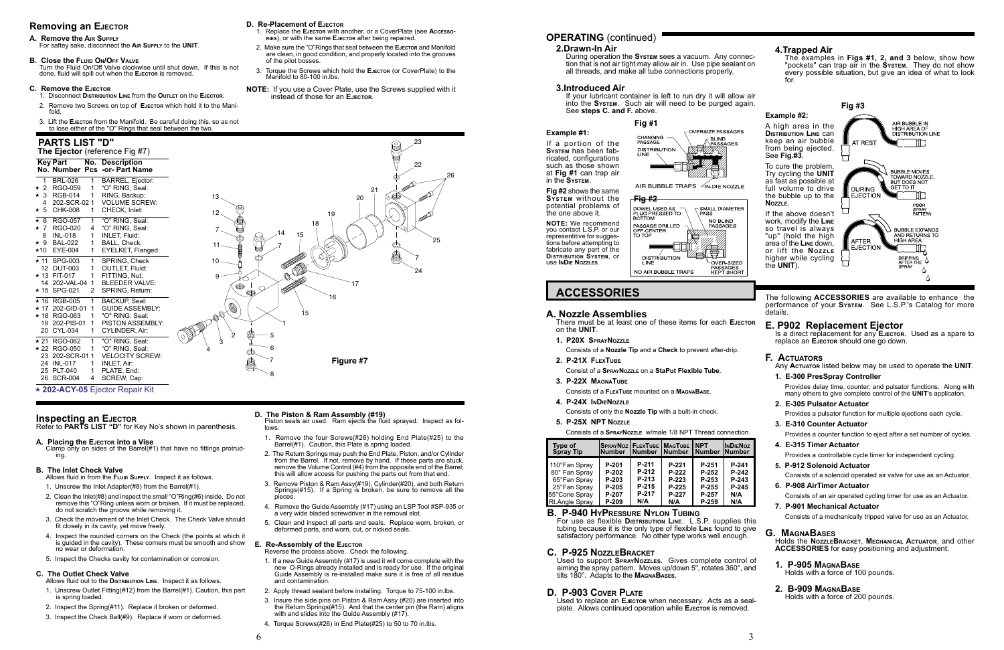# **OPERATING** (continued)

For use as flexible **Distribution Line**. L.S.P. supplies this tubing because it is the only type of flexible **Line** found to give satisfactory performance. No other type works well enough.

**Example #1:** If a portion of the

**System** has been fabricated, configurations such as those shown at **Fig #1** can trap air in the **System**.

Used to replace an **Ejector** when necessary. Acts as a sealplate. Allows continued operation while EJECTOR is removed.

the one above it.

#### **Fig #2** shows the same **System** without the **Fig #2** potential problems of DOWEL USED AS - $\overline{\phantom{a}}$  SMALL DIAMETER **PASS BOTTOM** NO BLIND **NOTE:** We recommend PASSAGE DRILLED **PASSAGES** you contact L.S.P. or our OFF-CENTER<br>TO TOP representitive for suggestions before attempting to fabricate any part of the **Distribution System**, or



use **InDie Nozzles**.

## **B. P-940 HyPressure Nylon Tubing**

## **C. P-925 NozzleBracket**

Used to support **SprayNozzles**. Gives complete control of aiming the spray pattern. Moves up/down 5", rotates 360°, and tilts 180°. Adapts to the **MagnaBases**.

## **D. P-903 Cover Plate**

## **2.Drawn-In Air**

During operation the **System** sees a vacuum. Any connection that is not air tight may allow air in. Use pipe sealant on all threads, and make all tube connections properly.

## **3.Introduced Air**

If your lubricant container is left to run dry it will allow air into the **System**. Such air will need to be purged again. See **steps C. and F.** above.

#### **4.Trapped Air** The examples in **Figs #1, 2, and 3** below, show how "pockets" can trap air in the **System**. They do not show every possible situation, but give an idea of what to look for. **Fig #3 Example #2:** AIR BUBBLE IN A high area in the HIGH AREA OF **Distribution Line** can DISTRIBUTION LINE keep an air bubble AT REST from being ejected. See **Fig.#3**. ㅁ To cure the problem, **BUBBLE MOVES** Try cycling the **UNIT** TOWARD NOZZLE,<br>BUT DOES NOT as fast as possible at **GET TO IT** full volume to drive **DURING** the bubble up to the **EJECTION** ШL **Nozzle**. POOR<br>SPRAY<br>PATTERN 口 If the above doesn't work, modify the **Line** so travel is always **BUBBLE EXPANDS** "up" (hold the high AND RETURNS TO HIGH AREA AFTER area of the **Line** down, EJECTION IĘ or lift the **NozzLE** higher while cycling DRIPPING<br>AFTER THE the **UNIT**). **SPRAY**  $\Delta$  $\Delta$ **ACCESSORIES** The following **ACCESSORIES** are available to enhance the performance of your **System**. See L.S.P.'s Catalog for more details. **E. P902 Replacement Ejector** Is a direct replacement for any **E**JECTOR. Used as a spare to replace an **Ejector** should one go down. **F. Actuators** Any **Actuator** listed below may be used to operate the **UNIT**. **1. E-300 PresSpray Controller** Provides delay time, counter, and pulsator functions. Along with many others to give complete control of the **UNIT**'s applicaton. **2. E-305 Pulsator Actuator** Provides a pulsator function for multiple ejections each cycle. **3. E-310 Counter Actuator** Provides a counter function to eject after a set number of cycles. **4. E-315 Timer Actuator Noz Iber** Provides a controllable cycle timer for independent cycling. **P-241 5. P-912 Solenoid Actuator P-242** Consists of a solenoid operated air valve for use as an Actuator. **P-243 6. P-908 AirTimer Actuator P-245 N/A** Consists of an air operated cycling timer for use as an Actuator. **7. P-901 Mechanical Actuator** Consists of a mechanically tripped valve for use as an Actuator. **G. MagnaBases** Holds the **NozzleBracket**, **Mechanical Actuator**, and other **ACCESSORIES** for easy positioning and adjustment. **1. P-905 MagnaBase** Holds with a force of 100 pounds. **2. B-909 MagnaBase** Holds with a force of 200 pounds.

Piston seals air used. Ram ejects the fluid sprayed. Inspect as fol**lows** 

## **A. Nozzle Assemblies**

There must be at least one of these items for each **Ejector** on the **UNIT**.

- **1. P20X SprayNozzle**
	- Consists of a **Nozzle Tip** and a **Check** to prevent after-drip.
- **2. P-21X FlexTube**
- Consist of a **SprayNozzle** on a **StaPut Flexible Tube**.
- **3. P-22X MagnaTube**
	- Consists of a **FlexTube** mounted on a **MagnaBase**.
- **4. P-24X InDieNozzle**

Consists of only the **Nozzle Tip** with a built-in check.

**5. P-25X NPT Nozzle**

Consists of a **SprayNozzle** w/male 1/8 NPT Thread connection.



AIR BUBBLE TRAPS 4N-DIE NOZZLE

## **Removing an Ejector**

## **A. Remove the Air Supply**

For saftey sake, disconnect the **Air Supply** to the **UNIT**.

## **B. Close the FLUID ON/OFF VALVE**

Turn the Fluid On/Off Valve clockwise until shut down. If this is not done, fluid will spill out when the **Ejector** is removed.

## **C. Remove the Ejector**

- 1. Disconnect **Distribution Line** from the **Outlet** on the **Ejector**.
- 2. Remove two Screws on top of **Ejector** which hold it to the Manifold.
- 3. Lift the **Ejector** from the Manifold. Be careful doing this, so as not to lose either of the "O" Rings that seal between the two.

## **D. Re-Placement of Ejector**

- 1. Replace the **Ejector** with another, or a CoverPlate (see **Accessories**), or with the same **Ejector** after being repaired.
- 2. Make sure the "O"Rings that seal between the **Ejector** and Manifold are clean, in good condition, and properly located into the grooves of the pilot bosses.
- 3. Torque the Screws which hold the **Ejector** (or CoverPlate) to the Manifold to 80-100 in.lbs.
- **NOTE:** If you use a Cover Plate, use the Screws supplied with it instead of those for an **Ejector**.

 $20$ 

# **D. The Piston & Ram Assembly (#19)**

- 1. Remove the four Screws(#26) holding End Plate(#25) to the Barrel(#1). Caution, this Plate is spring loaded.
- 2. The Return Springs may push the End Plate, Piston, and/or Cylinder from the Barrel. If not, remove by hand. If these parts are stuck, remove the Volume Control (#4) from the opposite end of the Barrel; this will allow access for pushing the parts out from that end.
- 3. Remove Piston & Ram Assy(#19), Cylinder(#20), and both Return Springs(#15). If a Spring is broken, be sure to remove all the pieces.
- 4. Remove the Guide Assembly (#17) using an LSP Tool #SP-935 or a very wide bladed screwdriver in the removal slot.
- 5. Clean and inspect all parts and seals. Replace worn, broken, or deformed parts, and worn, cut, or nicked seals.

## **E. Re-Assembly of the Ejector**

Reverse the process above. Check the following.

| Type of<br><b>Spray Tip</b> | SprayNoz   FlexTube   MagTube  <br>lNumber | <b>Number</b> | <b>Number</b> | <b>NPT</b><br><b>Number</b> | <b>INDIEN</b><br><b>Numb</b> |
|-----------------------------|--------------------------------------------|---------------|---------------|-----------------------------|------------------------------|
| 110°Fan Spray               | P-201                                      | P-211         | P-221         | P-251                       | $P-2$                        |
| 80° Fan Spray               | P-202                                      | P-212         | P-222         | P-252                       | $P-2$                        |
| 65°Fan Spray                | P-203                                      | P-213         | P-223         | P-253                       | $P-2$                        |
| 25°Fan Spray                | P-205                                      | P-215         | $P-225$       | P-255                       | $P-2$                        |
| 55°Cone Spray               | P-207                                      | P-217         | P-227         | P-257                       | N/A                          |
| <b>Rt.Angle Spray</b>       | P-209                                      | N/A           | N/A           | P-259                       | N/A                          |

- 1. If a new Guide Assembly (#17) is used it will come complete with the new O-Rings already installed and is ready for use. If the original Guide Assembly is re-installed make sure it is free of all residue and contamination.
- 2. Apply thread sealant before installing. Torque to 75-100 in.lbs.
- 3. Insure the side pins on Piston & Ram Assy (#20) are inserted into the Return Springs(#15). And that the center pin (the Ram) aligns with and slides into the Guide Assembly (#17).
- 4. Torque Screws(#26) in End Plate(#25) to 50 to 70 in.lbs.

Refer to **PARTS LIST "D"** for Key No's shown in parenthesis.

## **A. Placing the Ejector into a Vise**

Clamp only on sides of the Barrel(#1) that have no fittings protruding.

## **B. The Inlet Check Valve**

Allows fluid in from the **Fluid Supply**. Inspect it as follows.

- 1. Unscrew the Inlet Adapter(#8) from the Barrel(#1).
- 2. Clean the Inlet(#8) and inspect the small "O"Ring(#6) inside. Do not remove this "O"Ring unless worn or broken. If it must be replaced, do not scratch the groove while removing it.
- 3. Check the movement of the Inlet Check. The Check Valve should fit closely in its cavity, yet move freely.
- 4. Inspect the rounded corners on the Check (the points at which it is guided in the cavity). These corners must be smooth and show no wear or deformation.
- 5. Inspect the Checks cavity for contamination or corrosion.

# **C. The Outlet Check Valve**

- Allows fluid out to the **Distribution Line**. Inspect it as follows. 1. Unscrew Outlet Fitting(#12) from the Barrel(#1). Caution, this part is spring loaded.
- 2. Inspect the Spring(#11). Replace if broken or deformed.
- 3. Inspect the Check Ball(#9). Replace if worn or deformed.

# **PARTS LIST "D"**

## **The Ejector** (reference Fig #7)

| T <b>he Ejector</b> (reference Fig #7) |                                                                                         |                                      |                                                                                                                  |   |  |
|----------------------------------------|-----------------------------------------------------------------------------------------|--------------------------------------|------------------------------------------------------------------------------------------------------------------|---|--|
|                                        | <b>Key Part</b>                                                                         |                                      | <b>No. Description</b><br>No. Number Pcs -or- Part Name                                                          |   |  |
| 1<br>$\star$ 2                         | <b>BRL-026</b><br>RGO-059                                                               | 1<br>1                               | <b>BARREL, Ejector:</b><br>"O" RING. Seal:                                                                       |   |  |
|                                        | ★ 3 RGB-014<br>4 202-SCR-02 1<br>★ 5 CHK-008                                            | 1<br>1                               | RING, Backup:<br><b>VOLUME SCREW:</b><br>CHECK, Inlet:                                                           |   |  |
|                                        | ★ 6 RGO-057<br>* 7 RGO-020<br>8 INL-018<br>★ 9 BAL-022<br>★10 EYE-004                   | 1<br>4<br>1<br>1<br>1                | "O" RING, Seal:<br>"O" RING, Seal:<br>INLET, Fluid:<br>BALL, Check:<br>EYELKET, Flanged:                         |   |  |
|                                        | ★ 11 SPG-003<br>12 OUT-003<br>★ 13 FIT-017<br>14 202-VAL-04<br>★ 15 SPG-021             | 1<br>1<br>1<br>$\mathbf{1}$<br>2     | SPRING, Check<br><b>OUTLET, Fluid:</b><br>FITTING, Nut:<br><b>BLEEDER VALVE:</b><br>SPRING, Return:              |   |  |
|                                        | ★ 16 RGB-005<br>★ 17 202-GID-01<br>★ 18 RGO-063<br>19 202-PIS-01<br>20 CYL-034          | 1<br>1<br>1<br>$\mathbf{1}$<br>1     | BACKUP, Seal:<br><b>GUIDE ASSEMBLY:</b><br>"O" RING: Seal:<br><b>PISTON ASSEMBLY:</b><br>CYLINDER, Air:          |   |  |
|                                        | ★ 21 RGO-062<br>★ 22 RGO-050<br>23 202-SCR-01<br>24 INL-017<br>25 PLT-040<br>26 SCR-004 | 1<br>1<br>$\mathbf 1$<br>1<br>1<br>4 | "O" RING, Seal:<br>"O" RING. Seal:<br><b>VELOCITY SCREW:</b><br><b>INLET, Air:</b><br>PLATE, End:<br>SCREW, Cap: | 4 |  |

## 0 **202-ACY-05** Ejector Repair Kit

## **Inspecting an EJECTOR**

1

2 3

Q

♠ æ

12 13

> 7 14

> > 15

16

18

19

21

25

22

# 23

7

15

24

26

17

**Figure #7**